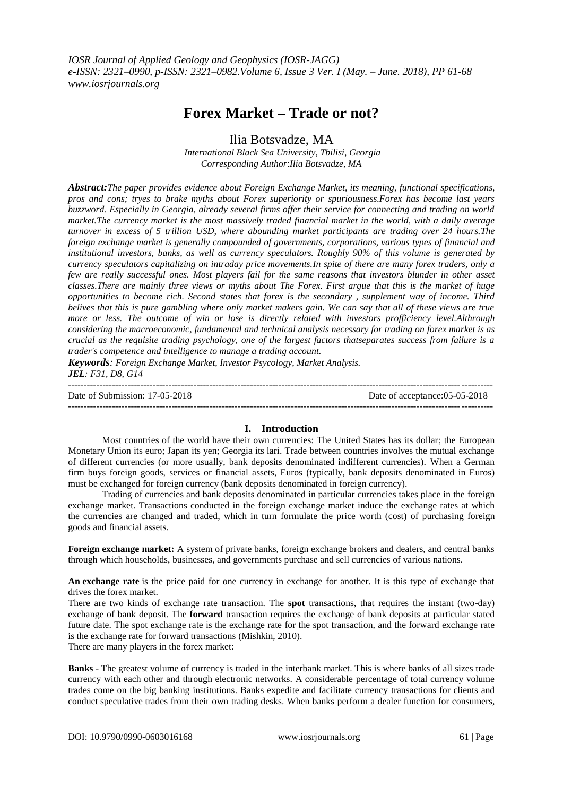# **Forex Market – Trade or not?**

Ilia Botsvadze, MA

*International Black Sea University, Tbilisi, Georgia Corresponding Author*:*Ilia Botsvadze, MA*

*Abstract:The paper provides evidence about Foreign Exchange Market, its meaning, functional specifications, pros and cons; tryes to brake myths about Forex superiority or spuriousness.Forex has become last years buzzword. Especially in Georgia, already several firms offer their service for connecting and trading on world market.The currency market is the most massively traded financial market in the world, with a daily average turnover in excess of 5 trillion USD, where abounding market participants are trading over 24 hours.The foreign exchange market is generally compounded of governments, corporations, various types of financial and institutional investors, banks, as well as currency speculators. Roughly 90% of this volume is generated by currency speculators capitalizing on intraday price movements.In spite of there are many forex traders, only a few are really successful ones. Most players fail for the same reasons that investors blunder in other asset classes.There are mainly three views or myths about The Forex. First argue that this is the market of huge opportunities to become rich. Second states that forex is the secondary , supplement way of income. Third belives that this is pure gambling where only market makers gain. We can say that all of these views are true more or less. The outcome of win or lose is directly related with investors profficiency level.Althrough considering the macroeconomic, fundamental and technical analysis necessary for trading on forex market is as crucial as the requisite trading psychology, one of the largest factors thatseparates success from failure is a trader's competence and intelligence to manage a trading account.*

*Keywords: Foreign Exchange Market, Investor Psycology, Market Analysis. JEL: F31, D8, G14*

--------------------------------------------------------------------------------------------------------------------------------------- Date of Submission: 17-05-2018 Date of acceptance:05-05-2018 --------------------------------------------------------------------------------------------------------------------------------------*-*

# **I. Introduction**

Most countries of the world have their own currencies: The United States has its dollar; the European Monetary Union its euro; Japan its yen; Georgia its lari. Trade between countries involves the mutual exchange of different currencies (or more usually, bank deposits denominated indifferent currencies). When a German firm buys foreign goods, services or financial assets, Euros (typically, bank deposits denominated in Euros) must be exchanged for foreign currency (bank deposits denominated in foreign currency).

Trading of currencies and bank deposits denominated in particular currencies takes place in the foreign exchange market. Transactions conducted in the foreign exchange market induce the exchange rates at which the currencies are changed and traded, which in turn formulate the price worth (cost) of purchasing foreign goods and financial assets.

**Foreign exchange market:** A system of private banks, foreign exchange brokers and dealers, and central banks through which households, businesses, and governments purchase and sell currencies of various nations.

**An [exchange rate](http://www.investopedia.com/terms/e/exchangerate.asp)** is the price paid for one currency in exchange for another. It is this type of exchange that drives the forex market.

There are two kinds of exchange rate transaction. The **spot** transactions, that requires the instant (two-day) exchange of bank deposit. The **forward** transaction requires the exchange of bank deposits at particular stated future date. The spot exchange rate is the exchange rate for the spot transaction, and the forward exchange rate is the exchange rate for forward transactions (Mishkin, 2010).

There are many players in the forex market:

**Banks** - The greatest volume of currency is traded in the [interbank market.](http://www.investopedia.com/terms/i/interbankmarket.asp) This is where banks of all sizes trade currency with each other and through electronic networks. A considerable percentage of total currency volume trades come on the big banking institutions. Banks expedite and facilitate currency transactions for clients and conduct [speculative](http://www.investopedia.com/terms/s/speculation.asp) trades from their own trading desks. When banks perform a dealer function for consumers,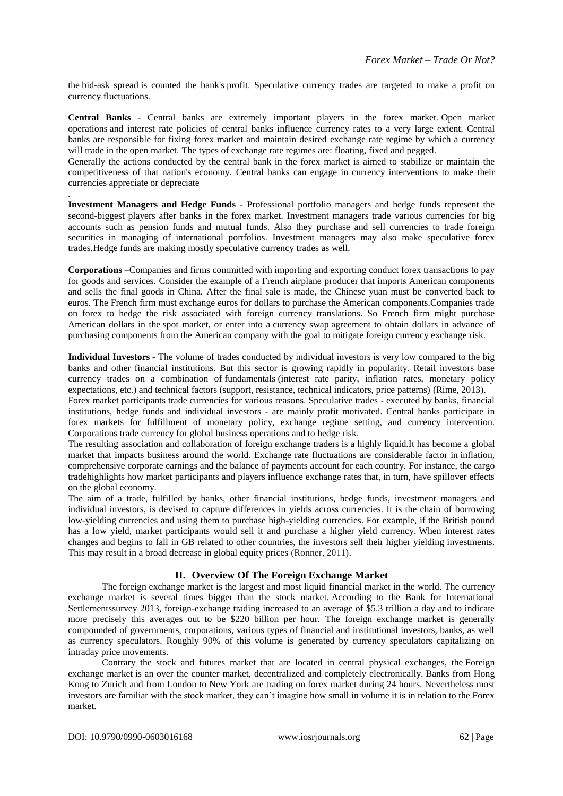the [bid-ask spread](http://www.investopedia.com/terms/b/bid-askspread.asp) is counted the bank's [profit.](http://www.investopedia.com/terms/p/profit.asp) Speculative currency trades are targeted to make a profit on currency fluctuations.

**Central Banks** - Central banks are extremely important players in the forex market. [Open market](http://www.investopedia.com/terms/o/openmarketoperations.asp)  [operations](http://www.investopedia.com/terms/o/openmarketoperations.asp) and interest rate policies of central banks influence currency rates to a very large extent. Central banks are responsible for fixing forex market and maintain desired exchange rate regime by which a currency will trade in the open market. The types of exchange rate regimes are: [floating,](http://www.investopedia.com/terms/f/floatingexchangerate.asp) fixed and [pegged.](http://www.investopedia.com/terms/p/pegging.asp)

Generally the actions conducted by the central bank in the forex market is aimed to stabilize or maintain the competitiveness of that nation's economy. Central banks can engage in currency interventions to make their currencies appreciate or depreciate

**Investment Managers and Hedge Funds** - Professional portfolio managers and hedge funds represent the second-biggest players after banks in the forex market. Investment managers trade various currencies for big accounts such as pension funds and mutual funds. Also they purchase and sell currencies to trade foreign securities in managing of international portfolios. Investment managers may also make speculative forex trades[.Hedge funds](http://www.investopedia.com/terms/h/hedgefund.asp) are making mostly speculative currency trades as well.

**Corporations** –Companies and firms committed with importing and exporting conduct forex transactions to pay for goods and services. Consider the example of a French airplane producer that imports American components and sells the final goods in China. After the final sale is made, the Chinese yuan must be converted back to euros. The French firm must exchange euros for dollars to purchase the American components.Companies trade on forex to hedge the risk associated with foreign currency translations. So French firm might purchase American dollars in the [spot market,](http://www.investopedia.com/terms/s/spotmarket.asp) or enter into a [currency swap](http://www.investopedia.com/terms/c/currencyswap.asp) agreement to obtain dollars in advance of purchasing components from the American company with the goal to mitigate foreign currency exchange risk.

**Individual Investors** - The volume of trades conducted by [individual](http://www.investopedia.com/terms/r/retailinvestor.asp) investors is very low compared to the big banks and other financial institutions. But this sector is growing rapidly in popularity. Retail investors base currency trades on a combination of [fundamentals](http://www.investopedia.com/terms/f/fundamentals.asp) (interest rate parity, inflation rates, monetary policy expectations, etc.) and [technical](http://www.investopedia.com/terms/t/technicalanalysis.asp) factors (support, resistance, technical indicators, price patterns) (Rime, 2013).

Forex market participants trade currencies for various reasons. Speculative trades - executed by banks, financial institutions, hedge funds and individual investors - are mainly profit motivated. Central banks participate in forex markets for fulfillment of [monetary policy,](http://www.investopedia.com/terms/m/monetarypolicy.asp) exchange regime setting, and currency intervention. Corporations trade currency for global business operations and to hedge risk.

The resulting association and collaboration of foreign exchange traders is a highly liquid.It has become a global market that impacts business around the world. Exchange rate fluctuations are considerable factor in [inflation,](http://www.investopedia.com/terms/i/inflation.asp) comprehensive corporate earnings and the [balance of payments](http://www.investopedia.com/terms/b/bop.asp) account for each country. For instance, the [cargo](http://www.investopedia.com/terms/c/currencycarrytrade.asp) [tradeh](http://www.investopedia.com/terms/c/currencycarrytrade.asp)ighlights how market participants and players influence exchange rates that, in turn, have spillover effects on the global economy.

The aim of a trade, fulfilled by banks, other financial institutions, hedge funds, investment managers and individual investors, is devised to capture differences in yields across currencies. It is the chain of borrowing low-yielding currencies and using them to purchase high-yielding currencies. For example, if the British pound has a low yield, market participants would sell it and purchase a higher yield currency. When interest rates changes and begins to fall in GB related to other countries, the investors sell their higher yielding investments. This may result in a broad decrease in global equity prices (Ronner, 2011).

# **II. Overview Of The Foreign Exchange Market**

The [foreign exchange](http://www.investopedia.com/terms/f/foreign-exchange.asp) market is the largest and most liquid financial market in the world. The currency exchange market is several times bigger than the stock market. According to the Bank for International Settlementssurvey 2013, foreign-exchange trading increased to an average of \$5.3 trillion a day and to indicate more precisely this averages out to be \$220 billion per hour. The foreign exchange market is generally compounded of governments, corporations, various types of financial and institutional investors, banks, as well as currency speculators. Roughly 90% of this volume is generated by currency speculators capitalizing on intraday price movements.

Contrary the stock and futures market that are located in central physical exchanges, the [Foreign](http://www.brainshark.com/fxcm/vu?pi=636630765)  [exchange market](http://www.brainshark.com/fxcm/vu?pi=636630765) is an over the counter market, decentralized and completely electronically. Banks from Hong Kong to Zurich and from London to New York are trading on forex market during 24 hours. Nevertheless most investors are familiar with the stock market, they can't imagine how small in volume it is in relation to the Forex market.

.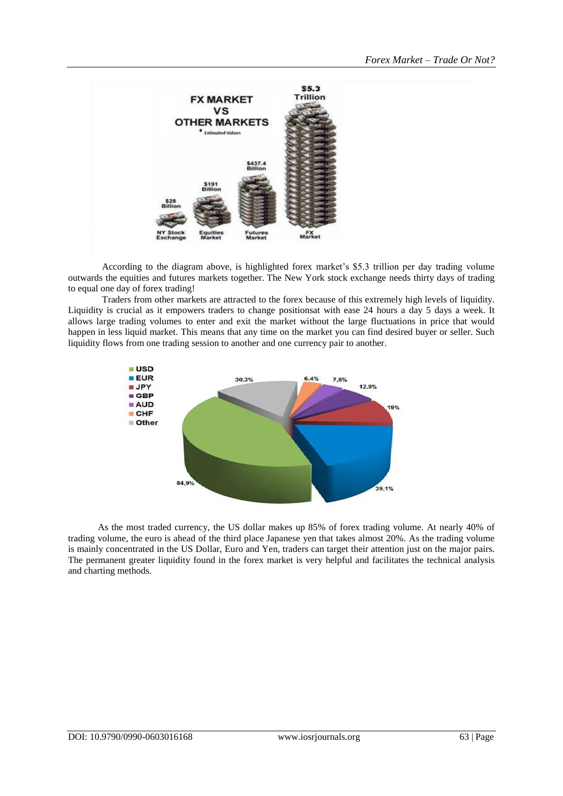

According to the diagram above, is highlighted forex market's \$5.3 trillion per day trading volume outwards the equities and futures markets together. The New York stock exchange needs thirty days of trading to equal one day of forex trading!

Traders from other markets are attracted to the forex because of this extremely high levels of liquidity. Liquidity is crucial as it empowers traders to change positionsat with ease 24 hours a day 5 days a week. It allows large trading volumes to enter and exit the market without the large fluctuations in price that would happen in less liquid market. This means that any time on the market you can find desired buyer or seller. Such liquidity flows from one [trading session](http://www.dailyfx.com/forex-education/freshman/forex-articles/2012/08/23/FX_Markets_The_Three_Major_Trading_Sessions.html) to another and one currency pair to another.



As the most traded currency, the US dollar makes up 85% of forex trading volume. At nearly 40% of trading volume, the [euro](http://www.dailyfx.com/eur) is ahead of the third place [Japanese yen](http://www.dailyfx.com/jpy) that takes almost 20%. As the trading volume is mainly concentrated in the US Dollar, Euro and Yen, traders can target their attention just on the major pairs. The permanent greater liquidity found in the forex market is very helpful and facilitates the technical analysis and charting methods.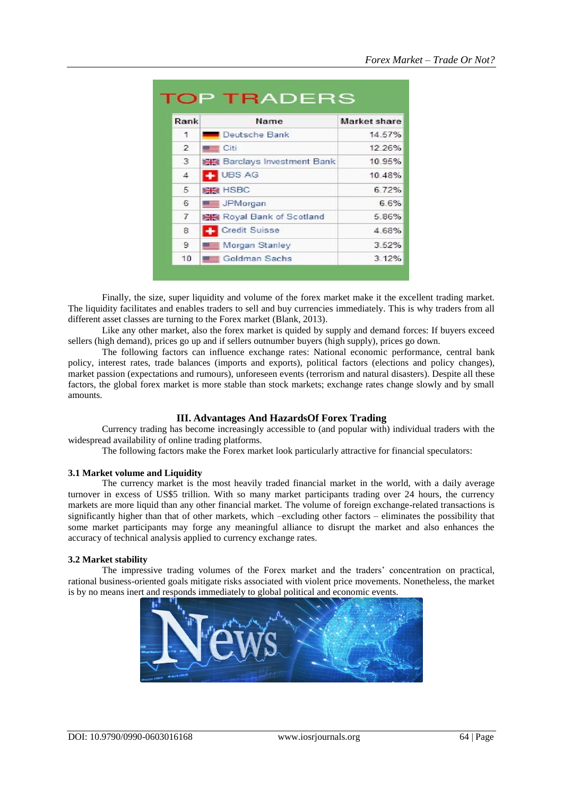| Rank           | Name                                | <b>Market share</b> |
|----------------|-------------------------------------|---------------------|
| 1              | Deutsche Bank                       | 14.57%              |
| $\overline{2}$ | <b>Exerciti</b> Citi                | 12.26%              |
| 3              | <b>BHS</b> Barclays Investment Bank | 10.95%              |
| $\overline{4}$ | <b>LE</b> UBS AG                    | 10.48%              |
| 5              | <b>BHS</b> HSBC                     | 6.72%               |
| 6              | <b>WELL</b> JPMorgan                | 6.6%                |
| $\overline{7}$ | <b>图像 Royal Bank of Scotland</b>    | 5.86%               |
| 8              | <b>Credit Suisse</b>                | 4.68%               |
| 9              | Morgan Stanley                      | 3.52%               |
| 10             | Goldman Sachs                       | 3.12%               |

Finally, the size, super liquidity and volume of the forex market make it the excellent trading market. The liquidity facilitates and enables traders to sell and buy currencies immediately. This is why traders from all different asset classes are turning to the Forex market (Blank, 2013).

Like any other market, also the forex market is quided by supply and demand forces: If buyers exceed sellers (high demand), prices go up and if sellers outnumber buyers (high supply), prices go down.

The following factors can influence exchange rates: National economic performance, central bank policy, interest rates, trade balances (imports and exports), political factors (elections and policy changes), market passion (expectations and rumours), unforeseen events (terrorism and natural disasters). Despite all these factors, the global forex market is more stable than stock markets; exchange rates change slowly and by small amounts.

#### **III. Advantages And HazardsOf Forex Trading**

Currency trading has become increasingly accessible to (and popular with) individual traders with the widespread availability of online trading platforms.

The following factors make the Forex market look particularly attractive for financial speculators:

#### **3.1 Market volume and Liquidity**

The currency market is the most heavily traded financial market in the world, with a daily average turnover in excess of US\$5 trillion. With so many market participants trading over 24 hours, the currency markets are more liquid than any other financial market. The volume of foreign exchange-related transactions is significantly higher than that of other markets, which –excluding other factors – eliminates the possibility that some market participants may forge any meaningful alliance to disrupt the market and also enhances the accuracy of technical analysis applied to currency exchange rates.

#### **3.2 Market stability**

The impressive trading volumes of the Forex market and the traders' concentration on practical, rational business-oriented goals mitigate risks associated with violent price movements. Nonetheless, the market is by no means inert and responds immediately to global political and economic events.

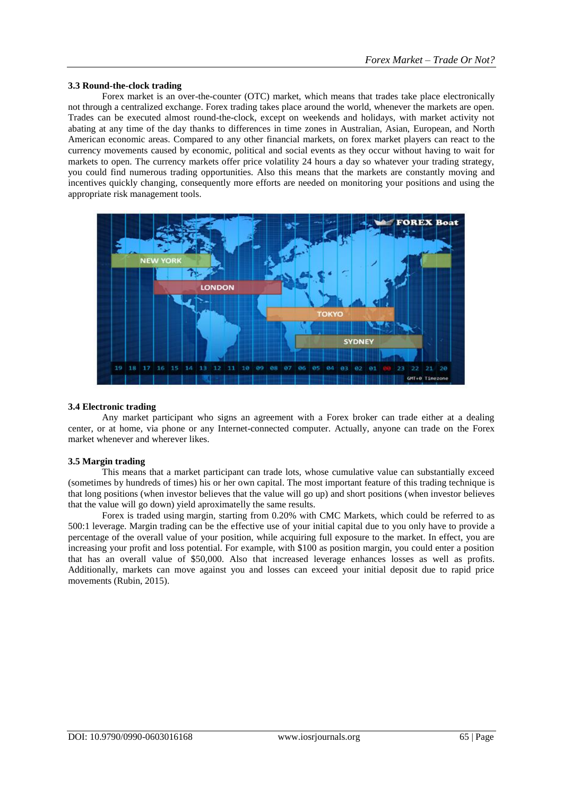#### **3.3 Round-the-clock trading**

Forex market is an over-the-counter (OTC) market, which means that trades take place electronically not through a centralized exchange. Forex trading takes place around the world, whenever the markets are open. Trades can be executed almost round-the-clock, except on weekends and holidays, with market activity not abating at any time of the day thanks to differences in time zones in Australian, Asian, European, and North American economic areas. Compared to any other financial markets, on forex market players can react to the currency movements caused by economic, political and social events as they occur without having to wait for markets to open. The currency markets offer price volatility 24 hours a day so whatever your trading strategy, you could find numerous trading opportunities. Also this means that the markets are constantly moving and incentives quickly changing, consequently more efforts are needed on monitoring your positions and using the appropriate [risk management tools.](http://www.cmcmarkets.co.nz/en/trading-platforms/executing-a-trade)



#### **3.4 Electronic trading**

Any market participant who signs an agreement with a Forex broker can trade either at a dealing center, or at home, via phone or any Internet-connected computer. Actually, anyone can trade on the Forex market whenever and wherever likes.

#### **3.5 Margin trading**

This means that a market participant can trade lots, whose cumulative value can substantially exceed (sometimes by hundreds of times) his or her own capital. The most important feature of this trading technique is that long positions (when investor believes that the value will go up) and short positions (when investor believes that the value will go down) yield aproximatelly the same results.

Forex is traded using [margin,](http://www.cmcmarkets.co.nz/en/cfd-trading/cfd-trading-costs/margin) starting from 0.20% with CMC Markets, which could be referred to as 500:1 leverage. Margin trading can be the effective use of your initial capital due to you only have to provide a percentage of the overall value of your position, while acquiring full exposure to the market. In effect, you are increasing your profit and loss potential. For example, with \$100 as position margin, you could enter a position that has an overall value of \$50,000. Also that increased leverage enhances losses as well as profits. Additionally, markets can move against you and losses can exceed your initial deposit due to rapid price movements (Rubin, 2015).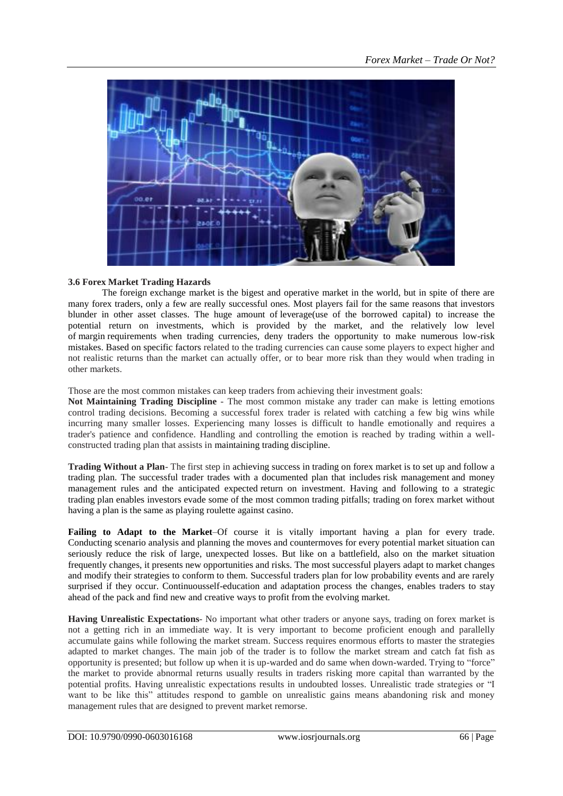

### **3.6 Forex Market Trading Hazards**

[The foreign exchange](http://www.investopedia.com/walkthrough/forex/getting-started/default.aspx) market is the bigest and operative market in the world, but in spite of there are many forex traders, only a few are really successful ones. Most players fail for the same reasons that investors blunder in other asset classes. The huge amount of [leverage\(](http://www.investopedia.com/terms/l/leverage.asp)use of the borrowed capital) to increase the potential return on investments, which is provided by the market, and the relatively low level of [margin](http://www.investopedia.com/terms/m/margin.asp) requirements when trading currencies, deny traders the opportunity to make numerous low-risk mistakes. Based on specific factors related to the trading currencies can cause some players to expect higher and not realistic returns than the market can actually offer, or to bear more risk than they would when trading in other markets.

Those are the most common mistakes can keep traders from achieving their investment goals:

**Not Maintaining Trading Discipline** *-* The most common mistake any trader can make is letting emotions control trading decisions. Becoming a successful forex trader is related with catching a few big wins while incurring many smaller losses. Experiencing many losses is difficult to handle emotionally and requires a trader's patience and confidence. Handling and controlling the emotion is reached by trading within a wellconstructed trading plan that assists in [maintaining trading discipline.](http://www.investopedia.com/articles/trading/02/110502.asp)

**Trading Without a Plan**- The first step in achieving success in trading on forex market is to set up and follow a trading plan. The successful trader trades with a documented plan that includes [risk management](http://www.investopedia.com/terms/r/riskmanagement.asp) and money management rules and the anticipated expected return on [investment.](http://www.investopedia.com/terms/r/returnoninvestment.asp) Having and following to a strategic trading plan enables investors evade some of the most common trading pitfalls; trading on forex market without having a plan is the same as playing roulette against casino.

**Failing to Adapt to the Market**–Of course it is vitally important having a plan for every trade. Conducting [scenario analysis](http://www.investopedia.com/terms/s/scenario_analysis.asp) and planning the moves and countermoves for every potential market situation can seriously reduce the risk of large, unexpected losses. But like on a battlefield, also on the market situation frequently changes, it presents new opportunities and risks. The most successful players adapt to market changes and modify their strategies to conform to them. Successful traders plan for low probability events and are rarely surprised if they occur. Continuousself-education and adaptation process the changes, enables traders to stay ahead of the pack and find new and creative ways to profit from the evolving market.

**Having Unrealistic Expectations**- No important what other traders or anyone says, trading on forex market is not a getting rich in an immediate way. It is very important to become proficient enough and parallelly accumulate gains while following the market stream. Success requires enormous efforts to master the strategies adapted to market changes. The main job of the trader is to follow the market stream and catch fat fish as opportunity is presented; but follow up when it is up-warded and do same when down-warded. Trying to "force" the market to provide abnormal returns usually results in traders risking more capital than warranted by the potential profits. Having unrealistic expectations results in undoubted losses. Unrealistic trade strategies or "I want to be like this" attitudes respond to gamble on unrealistic gains means abandoning risk and money management rules that are designed to prevent market remorse.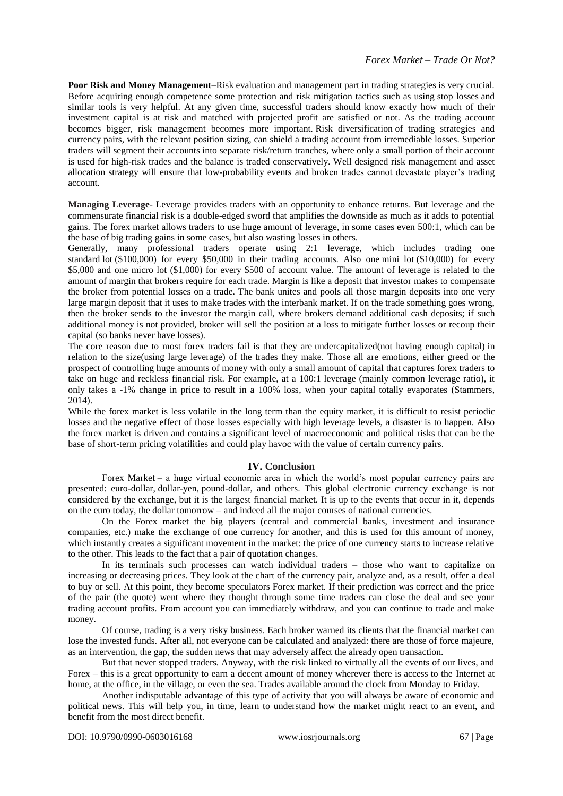**Poor Risk and Money Management**–Risk evaluation and management part in trading strategies is very crucial. Before acquiring enough competence some protection and risk mitigation tactics such as using [stop losses](http://www.investopedia.com/terms/s/stop-lossorder.asp) and similar tools is very helpful. At any given time, successful traders should know exactly how much of their investment capital is at risk and matched with projected profit are satisfied or not. As the trading account becomes bigger, risk management becomes more important. Risk [diversification](http://www.investopedia.com/terms/d/diversification.asp) of trading strategies and currency pairs, with the relevant position sizing, can shield a trading account from irremediable losses. Superior traders will segment their accounts into separate risk/return [tranches,](http://www.investopedia.com/terms/t/tranches.asp) where only a small portion of their account is used for high-risk trades and the balance is traded conservatively. Well designed risk management and asset allocation strategy will ensure that low-probability events and broken trades cannot devastate player's trading account.

**Managing Leverage**- [Leverage provides traders with an opportunity](http://www.investopedia.com/articles/forex/07/forex_leverage.asp) to enhance returns. But leverage and the commensurate financial risk is a double-edged sword that amplifies the downside as much as it adds to potential gains. The forex market allows traders to use huge amount of leverage, in some cases even 500:1, which can be the base of big trading gains in some cases, but also wasting losses in others.

Generally, many professional traders operate using 2:1 leverage, which includes trading one standard [lot](http://www.investopedia.com/terms/l/lot.asp) (\$100,000) for every \$50,000 in their trading accounts. Also one [mini lot](http://www.investopedia.com/terms/m/mini-lot.asp) (\$10,000) for every \$5,000 and one micro lot (\$1,000) for every \$500 of account value. The amount of leverage is related to the amount of [margin](http://www.investopedia.com/terms/m/margin.asp) that brokers require for each trade. Margin is like a deposit that investor makes to compensate the broker from potential losses on a trade. The bank unites and pools all those margin deposits into one very large margin deposit that it uses to make trades with the [interbank market.](http://www.investopedia.com/terms/i/interbankmarket.asp) If on the trade something goes wrong, then the broker sends to the investor the [margin call,](http://www.investopedia.com/terms/m/margincall.asp) where brokers demand additional cash deposits; if such additional money is not provided, broker will sell the position at a loss to mitigate further losses or recoup their capital (so banks never have losses).

The core reason due to most forex traders fail is that they are [undercapitalized\(](http://www.investopedia.com/terms/u/undercapitalization.asp)not having enough capital) in relation to the size(using large leverage) of the trades they make. Those all are emotions, either greed or the prospect of controlling huge amounts of money with only a small amount of capital that captures forex traders to take on huge and reckless financial risk. For example, at a 100:1 leverage (mainly common leverage ratio), it only takes a -1% change in price to result in a 100% loss, when your capital totally evaporates (Stammers, 2014).

While the forex market is less volatile in the long term than the equity market, it is difficult to resist periodic losses and the negative effect of those losses especially with high leverage levels, a disaster is to happen. Also the forex market is driven and contains a significant level of [macroeconomic](http://www.investopedia.com/terms/m/macroeconomics.asp) and political risks that can be the base of short-term pricing volatilities and could play havoc with the value of certain currency pairs.

# **IV. Conclusion**

Forex Market – a huge virtual economic area in which the world's most popular currency pairs are presented: euro-dollar, dollar-yen, pound-dollar, and others. This global electronic currency exchange is not considered by the exchange, but it is the largest financial market. It is up to the events that occur in it, depends on the euro today, the dollar tomorrow – and indeed all the major courses of national currencies.

On the Forex market the big players (central and commercial banks, investment and insurance companies, etc.) make the exchange of one currency for another, and this is used for this amount of money, which instantly creates a significant movement in the market: the price of one currency starts to increase relative to the other. This leads to the fact that a pair of quotation changes.

In its terminals such processes can watch individual traders – those who want to capitalize on increasing or decreasing prices. They look at the chart of the currency pair, analyze and, as a result, offer a deal to buy or sell. At this point, they become speculators Forex market. If their prediction was correct and the price of the pair (the quote) went where they thought through some time traders can close the deal and see your trading account profits. From account you can immediately withdraw, and you can continue to trade and make money.

Of course, trading is a very risky business. Each broker warned its clients that the financial market can lose the invested funds. After all, not everyone can be calculated and analyzed: there are those of force majeure, as an intervention, the gap, the sudden news that may adversely affect the already open transaction.

But that never stopped traders. Anyway, with the risk linked to virtually all the events of our lives, and Forex – this is a great opportunity to earn a decent amount of money wherever there is access to the Internet at home, at the office, in the village, or even the sea. Trades available around the clock from Monday to Friday.

Another indisputable advantage of this type of activity that you will always be aware of economic and political news. This will help you, in time, learn to understand how the market might react to an event, and benefit from the most direct benefit.